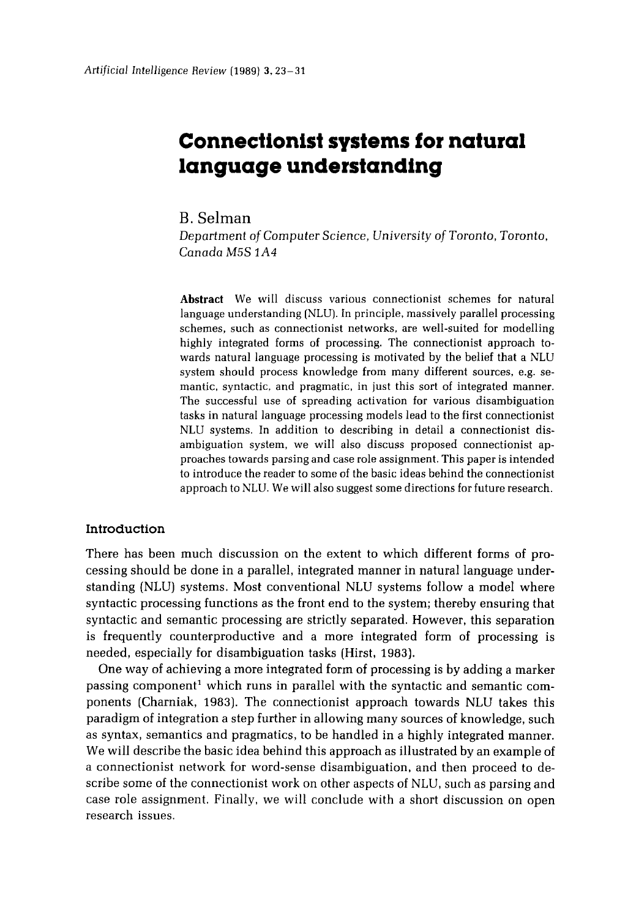# **Connectionist systems for natural language understanding**

**B.** Selman

*Department of Computer Science, University of* Toronto, *Toronto, Canada* M5S *1A4* 

**Abstract** We will discuss various connectionist schemes for natural language understanding (NLU). In principle, massively parallel processing schemes, such as connectionist networks, are well-suited for modelling highly integrated forms of processing. The connectionist approach towards natural language processing is motivated by the belief that a NLU system should process knowledge from many different sources, e.g. semantic, syntactic, and pragmatic, in just this sort of integrated manner. The successful use of spreading activation for various disambiguation tasks in natural language processing models lead to the first connectionist NLU systems. In addition to describing in detail a connectionist disambiguation system, we will also discuss proposed connectionist approaches towards parsing and case role assignment. This paper is intended to introduce the reader to some of the basic ideas behind the connectionist approach to NLU. We will also suggest some directions for future research.

# **Introduction**

There has been much discussion on the extent to which different forms of processing should be done in a parallel, integrated manner in natural language understanding (NLU) systems. Most conventional NLU systems follow a model where syntactic processing functions as the front end to the system; thereby ensuring that syntactic and semantic processing are strictly separated. However, this separation is frequently counterproductive and a more integrated form of processing is needed, especially for disambiguation tasks (Hirst, 1983).

One way of achieving a more integrated form of processing is by adding a marker passing component<sup>1</sup> which runs in parallel with the syntactic and semantic components (Charniak, 1983). The connectionist approach towards NLU takes this paradigm of integration a step further in allowing many sources of knowledge, such as syntax, semantics and pragmatics, to be handled in a highly integrated manner. We will describe the basic idea behind this approach as illustrated by an example of a connectionist network for word-sense disambiguation, and then proceed to describe some of the connectionist work on other aspects of NLU, such as parsing and case role assignment. Finally, we will conclude with a short discussion on open research issues.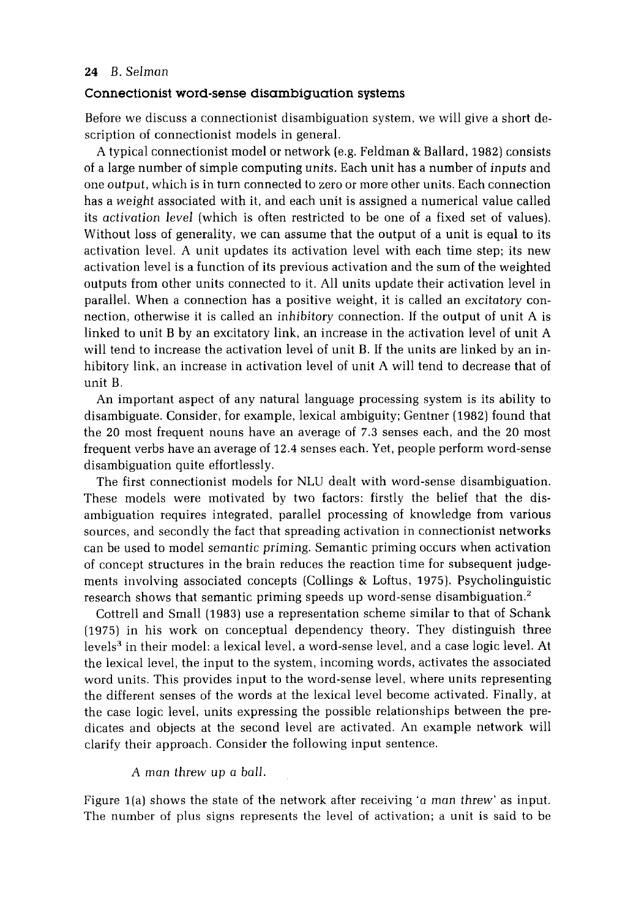# **Connectionist word-sense disambiguation systems**

Before we discuss a connectionist disambiguation system, we will give a short description of connectionist models in general.

A typical connectionist model or network (e.g. Feldman & Ballard, 1982) consists of a large number of simple computing units. Each unit has a number of *inputs* and one *output,* which is in turn connected to zero or more other units. Each connection has a *weight* associated with it, and each unit is assigned a numerical value called its *activation level* (which is often restricted to be one of a fixed set of values). Without loss of generality, we can assume that the output of a unit is equal to its activation level. A unit updates its activation level with each time step; its new activation level is a function of its previous activation and the sum of the weighted outputs from other units connected to it. All units update their activation level in parallel. When a connection has a positive weight, it is called an *excitatory* connection, otherwise it is called an *inhibitory* connection. If the output of unit A is linked to unit B by an excitatory link, an increase in the activation level of unit A will tend to increase the activation level of unit B. If the units are linked by an inhibitory link, an increase in activation level of unit A will tend to decrease that of unit B.

An important aspect of any natural language processing system is its ability to disambiguate. Consider, for example, lexical ambiguity; Gentner (1982) found that the 20 most frequent nouns have an average of 7.3 senses each, and the 20 most frequent verbs have an average of 12.4 senses each. Yet, people perform word-sense disambiguation quite effortlessly.

The first connectionist models for NLU dealt with word-sense disambiguation. These models were motivated by two factors: firstly the belief that the disambiguation requires integrated, parallel processing of knowledge from various sources, and secondly the fact that spreading activation in connectionist networks can be used to model *semantic priming.* Semantic priming occurs when activation of concept structures in the brain reduces the reaction time for subsequent judgements involving associated concepts (Collings & Loftus, 1975). Psycholinguistic research shows that semantic priming speeds up word-sense disambiguation.<sup>2</sup>

Cottrell and Small (1983) use a representation scheme similar to that of Schank (1975) in his work on conceptual dependency theory. They distinguish three levels<sup>3</sup> in their model: a lexical level, a word-sense level, and a case logic level. At the lexical level, the input to the system, incoming words, activates the associated word units. This provides input to the word-sense level, where units representing the different senses of the words at the lexical level become activated. Finally, at the case logic level, units expressing the possible relationships between the predicates and objects at the second level are activated. An example network will clarify their approach. Consider the following input sentence.

#### *A man threw up a ball.*

Figure l(a) shows the state of the network after receiving 'a *man threw'* as input. The number of plus signs represents the level of activation; a unit is said to be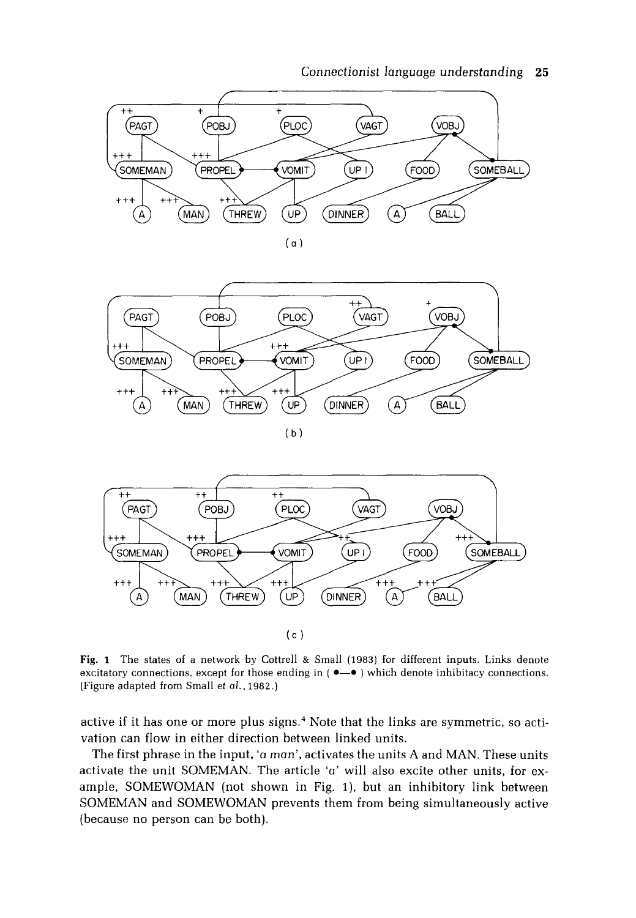







Fig. 1 The states of a network by Cottrell & Small (1983) for different inputs. Links denote excitatory connections, except for those ending in  $(\bullet - \bullet)$  which denote inhibitacy connections. (Figure adapted from Small *et al.,* 1982.)

active if it has one or more plus signs. 4 Note that the links are symmetric, so activation can flow in either direction between linked units.

The first phrase in the input, 'a *man',* activates the units A and MAN. These units activate the unit SOMEMAN. The article 'a' will also excite other units, for example, SOMEWOMAN (not shown in Fig. 1), but an inhibitory link between SOMEMAN and SOMEWOMAN prevents them from being simultaneously active (because no person can be both).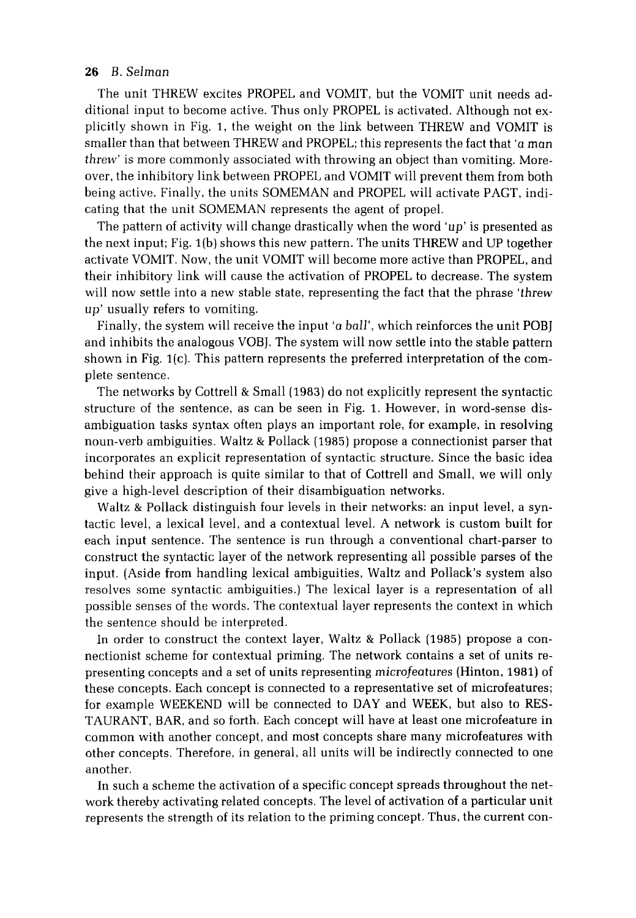The unit THREW excites PROPEL and VOMIT, but the VOMIT unit needs additional input to become active. Thus only PROPEL is activated. Although not explicitly shown in Fig. 1, the weight on the link between THREW and VOMIT is smaller than that between THREW and PROPEL; this represents the fact that 'a *man threw'* is more commonly associated with throwing an object than vomiting. Moreover, the inhibitory link between PROPEL and VOMIT will prevent them from both being active. Finally, the units SOMEMAN and PROPEL will activate PAGT, indicating that the unit SOMEMAN represents the agent of propel.

The pattern of activity will change drastically when the word *'up'* is presented as the next input; Fig. l(b) shows this new pattern. The units THREW and UP together activate VOMIT. Now, the unit VOMIT will become more active than PROPEL, and their inhibitory link will cause the activation of PROPEL to decrease. The system will now settle into a new stable state, representing the fact that the phrase *'threw*  up' usually refers to vomiting.

Finally, the system will receive the input 'a *ball',* which reinforces the unit POBJ and inhibits the analogous VOBJ. The system will now settle into the stable pattern shown in Fig. 1(c). This pattern represents the preferred interpretation of the complete sentence.

The networks by Cottrell & Small (1983) do not explicitly represent the syntactic structure of the sentence, as can be seen in Fig. 1. However, in word-sense disambiguation tasks syntax often plays an important role, for example, in resolving noun-verb ambiguities. Waltz & Pollack (1985) propose a connectionist parser that incorporates an explicit representation of syntactic structure. Since the basic idea behind their approach is quite similar to that of Cottrell and Small, we will only give a high-level description of their disambiguation networks.

Waltz & Pollack distinguish four levels in their networks: an input level, a syntactic level, a lexical level, and a contextual level. A network is custom built for each input sentence. The sentence is run through a conventional chart-parser to construct the syntactic layer of the network representing all possible parses of the input. (Aside from handling lexical ambiguities, Waltz and Pollack's system also resolves same syntactic ambiguities.) The lexical layer is a representation of all possible senses of the words. The contextual layer represents the context in which the sentence should be interpreted.

In order to construct the context layer, Waltz & Pollack (1985) propose a connectionist scheme for contextual priming. The network contains a set of units representing concepts and a set of units representing *microfeatures* (Hinton, 1981) of these concepts. Each concept is connected to a representative set of microfeatures; for example WEEKEND will be connected to DAY and WEEK, but also to RES-TAURANT, BAR, and so forth. Each concept will have at least one microfeature in common with another concept, and most Concepts share many microfeatures with other concepts. Therefore, in general, all units will be indirectly connected to one another.

In such a scheme the activation of a specific concept spreads throughout the network thereby activating related concepts. The level of activation of a particular unit represents the strength of its relation to the priming concept. Thus, the current con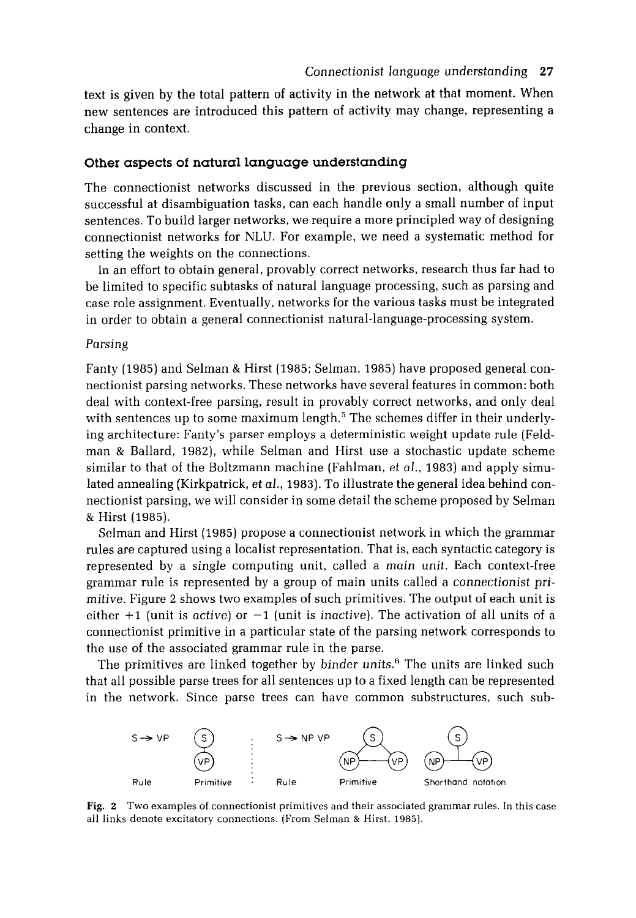text is given by the total pattern of activity in the network at that moment. When new sentences are introduced this pattern of activity may change, representing a change in context.

# **Other aspects of natural language understanding**

The connectionist networks discussed in the previous section, although quite successful at disambiguation tasks, can each handle only a small number of input sentences. To build larger networks, we require a more principled way of designing connectionist networks for NLU. For example, we need a systematic method for setting the weights on the connections.

In an effort to obtain general, provably correct networks, research thus far had to be limited to specific subtasks of natural language processing, such as parsing and case role assignment. Eventually, networks for the various tasks must be integrated in order to obtain a general connectionist natural-language-processing system.

#### Parsing

Fanty (1985) and Selman & Hirst (1985; Selman, 1985) have proposed general connectionist parsing networks. These networks have several features in common: both deal with context-free parsing, result in provably correct networks, and only deal with sentences up to some maximum length.<sup>5</sup> The schemes differ in their underlying architecture: Fanty's parser employs a deterministic weight update rule (Feldman & Ballard, 1982), while Selman and Hirst use a stochastic update scheme similar to that of the Boltzmann machine (Fahlman, *et al.,* 1983) and apply simulated annealing (Kirkpatrick, *et al.,* 1983). To illustrate the general idea behind connectionist parsing, we will consider in some detail the scheme proposed by Selman & Hirst (1985).

Selman and Hirst (1985) propose a connectionist network in which the grammar rules are captured using a localist representation. That is, each syntactic category is represented by a *single* computing unit, called a *main unit.* Each context-free grammar rule is represented by a group of main units called a *connectionist primitive.* Figure 2 shows two examples of such primitives. The output of each unit is either  $+1$  (unit is *active*) or  $-1$  (unit is *inactive*). The activation of all units of a connectionist primitive in a particular state of the parsing network corresponds to the use of the associated grammar rule in the parse.

The primitives are linked together by *binder* units. 6 The units are linked such that all possible parse trees for all sentences up to a fixed length can be represented in the network. Since parse trees can have common substructures, such sub-



Fig. 2 Two examples of connectionist primitives and their associated grammar rules. In this case all links denote excitatory connections. (From Selman & Hirst. 1985).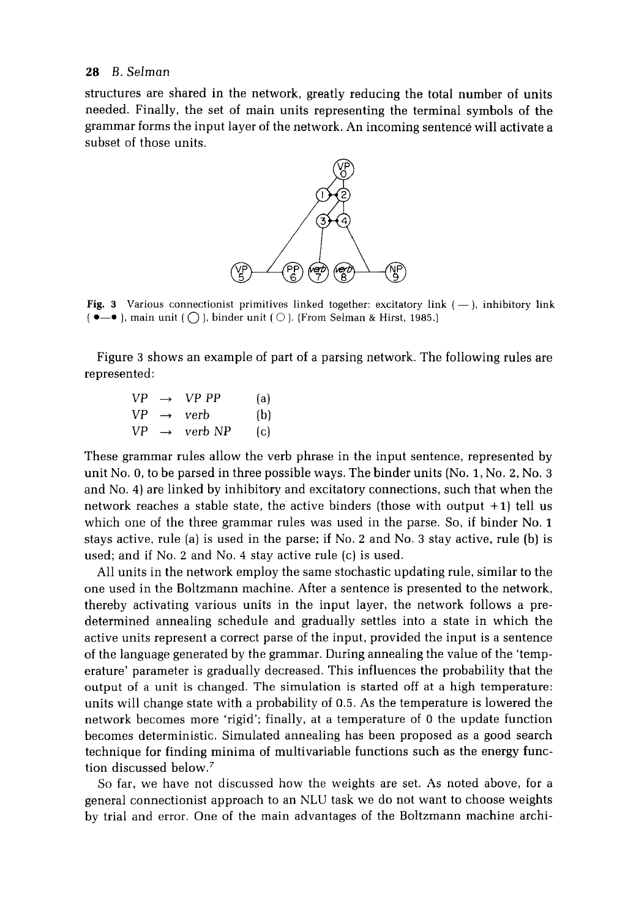structures are shared in the network, greatly reducing the total number of units needed. Finally, the set of main units representing the terminal symbols of the grammar forms the input layer of the network. An incoming sentence will activate a subset of those units.



Fig. 3 Various connectionist primitives linked together: excitatory link  $(-)$ , inhibitory link  $\bullet$ , main unit  $\circ$ , binder unit  $\circ$ ). (From Selman & Hirst, 1985.)

Figure 3 shows an example of part of a parsing network. The following rules are represented:

| VР | $\rightarrow$ | VP PP              | $\{a\}$           |
|----|---------------|--------------------|-------------------|
| VP |               | $\rightarrow$ verb | (b)               |
| VP | $\rightarrow$ | verb NP            | $\lceil c \rceil$ |

These grammar rules allow the verb phrase in the input sentence, represented by unit No. 0, to be parsed in three possible ways. The binder units (No. 1, No. 2, No. 3 and No. 4) are linked by inhibitory and excitatory connections, such that when the network reaches a stable state, the active binders (those with output +1) tell us which one of the three grammar rules was used in the parse. So, if binder No. 1 stays active, rule (a) is used in the parse; if No. 2 and No. 3 stay active, rule (b) is used; and if No. 2 and No. 4 stay active rule (c) is used.

All units in the network employ the same stochastic updating rule, similar to the one used in the Boltzmann machine. After a sentence is presented to the network, thereby activating various units in the input layer, the network follows a predetermined annealing schedule and gradually settles into a state in which the active units represent a correct parse of the input, provided the input is a sentence of the language generated by the grammar. During annealing the value of the 'temperature' parameter is gradually decreased. This influences the probability that the output of a unit is changed. The simulation is started off at a high temperature: units will change state with a probability of 0.5. As the temperature is lowered the network becomes more 'rigid'; finally, at a temperature of 0 the update function becomes deterministic. Simulated annealing has been proposed as a good search technique for finding minima of multivariable functions such as the energy function discussed below.<sup>7</sup>

So far, we have not discussed how the weights are set. As noted above, for a general connectionist approach to an NLU task we do not want to choose weights by trial and error. One of the main advantages of the Boltzmann machine archi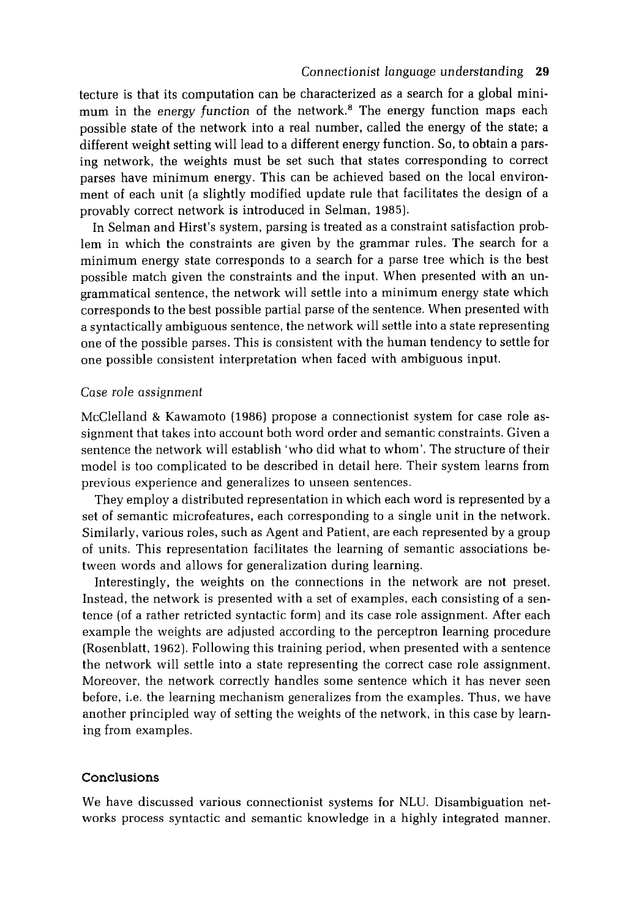tecture is that its computation can be characterized as a search for a global minimum in the energy function of the network.<sup>8</sup> The energy function maps each possible state of the network into a real number, called the energy of the state; a different weight setting will lead to a different energy function. So, to obtain a parsing network, the weights must be set such that states corresponding to correct parses have minimum energy. This can be achieved based on the local environment of each unit (a slightly modified update rule that facilitates the design of a provably correct network is introduced in Selman, 1985).

In Selman and Hirst's system, parsing is treated as a constraint satisfaction problem in which the constraints are given by the grammar rules. The search for a minimum energy state corresponds to a search for a parse tree which is the best possible match given the constraints and the input. When presented with an ungrammatical sentence, the network will settle into a minimum energy state which corresponds to the best possible partial parse of the sentence. When presented with a syntactically ambiguous sentence, the network will settle into a state representing one of the possible parses. This is consistent with the human tendency to settle for one possible consistent interpretation when faced with ambiguous input.

#### *Case role assignment*

McClelland & Kawamoto (1986) propose a connectionist system for case role assignment that takes into account both word order and semantic constraints. Given a sentence the network will establish 'who did what to whom'. The structure of their model is too complicated to be described in detail here. Their system learns from previous experience and generalizes to unseen sentences.

They employ a distributed representation in which each word is represented by a set of semantic microfeatures, each corresponding to a single unit in the network. Similarly, various roles, such as Agent and Patient, are each represented by a group of units. This representation facilitates the learning of semantic associations between words and allows for generalization during learning.

Interestingly, the weights on the connections in the network are not preset. Instead, the network is presented with a set of examples, each consisting of a sentence (of a rather retricted syntactic form) and its case role assignment. After each example the weights are adjusted according to the perceptron learning procedure (Rosenblatt, 1962). Following this training period, when presented with a sentence the network will settle into a state representing the correct case role assignment. Moreover, the network correctly handles some sentence which it has never seen before, i.e. the learning mechanism generalizes from the examples. Thus, we have another principled way of setting the weights of the network, in this case by learning from examples.

#### **Conclusions**

We have discussed various connectionist systems for NLU. Disambiguation networks process syntactic and semantic knowledge in a highly integrated manner.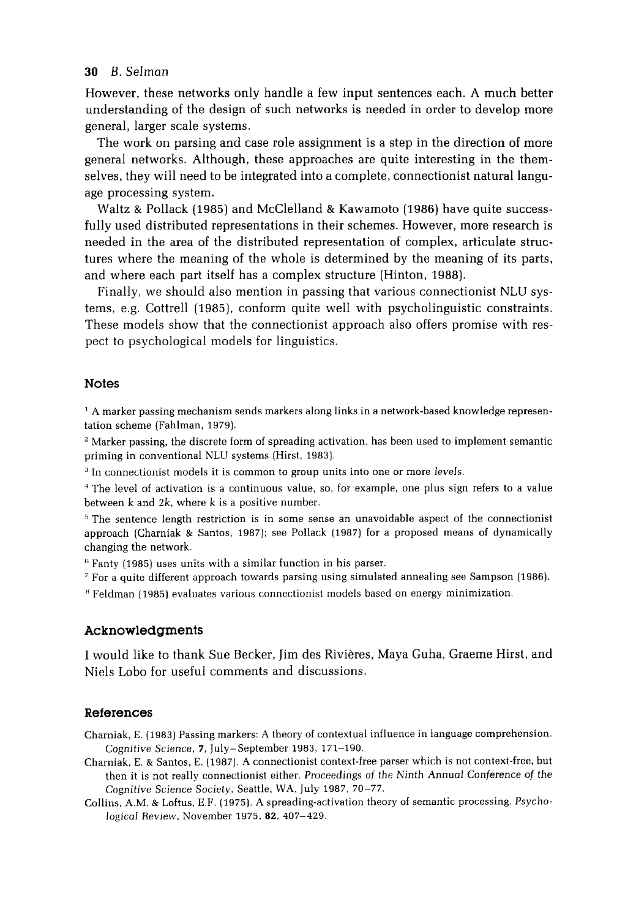However, these networks only handle a few input sentences each. A much better understanding of the design of such networks is needed in order to develop more general, larger scale systems.

The work on parsing and case role assignment is a step in the direction of more general networks. Although, these approaches are quite interesting in the themselves, they will need to be integrated into a complete, connectionist natural language processing system.

Waltz & Pollack (1985) and McClelland & Kawamoto (1986) have quite successfully used distributed representations in their schemes. However, more research is needed in the area of the distributed representation of complex, articulate structures where the meaning of the whole is determined by the meaning of its parts, and where each part itself has a complex structure (Hinton, 1988).

Finally, we should also mention in passing that various connectionist NLU systems, e.g. Cottrell (1985), conform quite well with psycholinguistic constraints. These models show that the connectionist approach also offers promise with respect to psychological models for linguistics.

# **Notes**

 $^1$  A marker passing mechanism sends markers along links in a network-based knowledge representation scheme (Fahlman, 1979).

 $<sup>2</sup>$  Marker passing, the discrete form of spreading activation, has been used to implement semantic</sup> priming in conventional NLU systems (Hirst, 1983).

3 In connectionist models it is common to group units into one or more *levels.* 

4 The level of activation is a continuous value, so, for example, one plus sign refers to a value between k and 2k, where k is a positive number.

 $5$  The sentence length restriction is in some sense an unavoidable aspect of the connectionist approach (Charniak & Santos, 1987); see Pollack (1987) for a proposed means of dynamically changing the network.

 $6$  Fanty (1985) uses units with a similar function in his parser.

7 For a quite different approach towards parsing using simulated annealing see Sampson (1986).

~ Feldman (1985) evaluates various connectionist models based on energy minimization.

# **Acknowledgments**

I would like to thank Sue Becker, Jim des Rivières, Maya Guha, Graeme Hirst, and Niels Lobo for useful comments and discussions.

#### **References**

Charniak, E. (1983) Passing markers: A theory of contextual influence in language comprehension. *Cognitive Science,* 7, July-September 1983, 171-190.

- Charniak, E. & Santos, E. (1987). A connectionist context-free parser which is not context-free, but then it is not really connectionist either. *Proceedings of the Ninth Annual Conference of the Cognitive Science Society,* Seattle, WA, July 1987, 70-77.
- Collins, A.M. & Loftus, E.F. (1975). A spreading-activation theory of semantic processing. *Psychological Review, November 1975, 82, 407-429.*